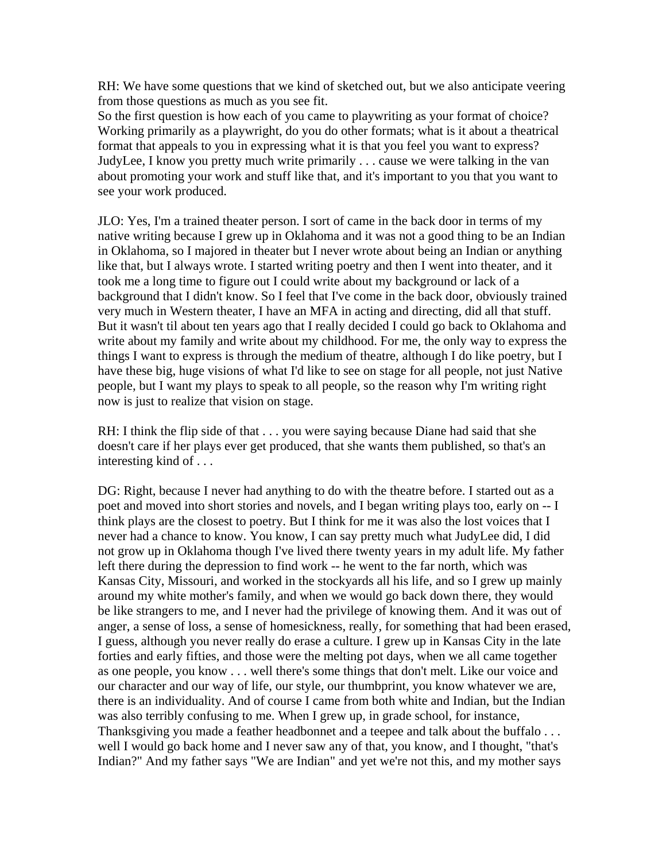RH: We have some questions that we kind of sketched out, but we also anticipate veering from those questions as much as you see fit.

So the first question is how each of you came to playwriting as your format of choice? Working primarily as a playwright, do you do other formats; what is it about a theatrical format that appeals to you in expressing what it is that you feel you want to express? JudyLee, I know you pretty much write primarily . . . cause we were talking in the van about promoting your work and stuff like that, and it's important to you that you want to see your work produced.

JLO: Yes, I'm a trained theater person. I sort of came in the back door in terms of my native writing because I grew up in Oklahoma and it was not a good thing to be an Indian in Oklahoma, so I majored in theater but I never wrote about being an Indian or anything like that, but I always wrote. I started writing poetry and then I went into theater, and it took me a long time to figure out I could write about my background or lack of a background that I didn't know. So I feel that I've come in the back door, obviously trained very much in Western theater, I have an MFA in acting and directing, did all that stuff. But it wasn't til about ten years ago that I really decided I could go back to Oklahoma and write about my family and write about my childhood. For me, the only way to express the things I want to express is through the medium of theatre, although I do like poetry, but I have these big, huge visions of what I'd like to see on stage for all people, not just Native people, but I want my plays to speak to all people, so the reason why I'm writing right now is just to realize that vision on stage.

RH: I think the flip side of that . . . you were saying because Diane had said that she doesn't care if her plays ever get produced, that she wants them published, so that's an interesting kind of . . .

DG: Right, because I never had anything to do with the theatre before. I started out as a poet and moved into short stories and novels, and I began writing plays too, early on -- I think plays are the closest to poetry. But I think for me it was also the lost voices that I never had a chance to know. You know, I can say pretty much what JudyLee did, I did not grow up in Oklahoma though I've lived there twenty years in my adult life. My father left there during the depression to find work -- he went to the far north, which was Kansas City, Missouri, and worked in the stockyards all his life, and so I grew up mainly around my white mother's family, and when we would go back down there, they would be like strangers to me, and I never had the privilege of knowing them. And it was out of anger, a sense of loss, a sense of homesickness, really, for something that had been erased, I guess, although you never really do erase a culture. I grew up in Kansas City in the late forties and early fifties, and those were the melting pot days, when we all came together as one people, you know . . . well there's some things that don't melt. Like our voice and our character and our way of life, our style, our thumbprint, you know whatever we are, there is an individuality. And of course I came from both white and Indian, but the Indian was also terribly confusing to me. When I grew up, in grade school, for instance, Thanksgiving you made a feather headbonnet and a teepee and talk about the buffalo ... well I would go back home and I never saw any of that, you know, and I thought, "that's Indian?" And my father says "We are Indian" and yet we're not this, and my mother says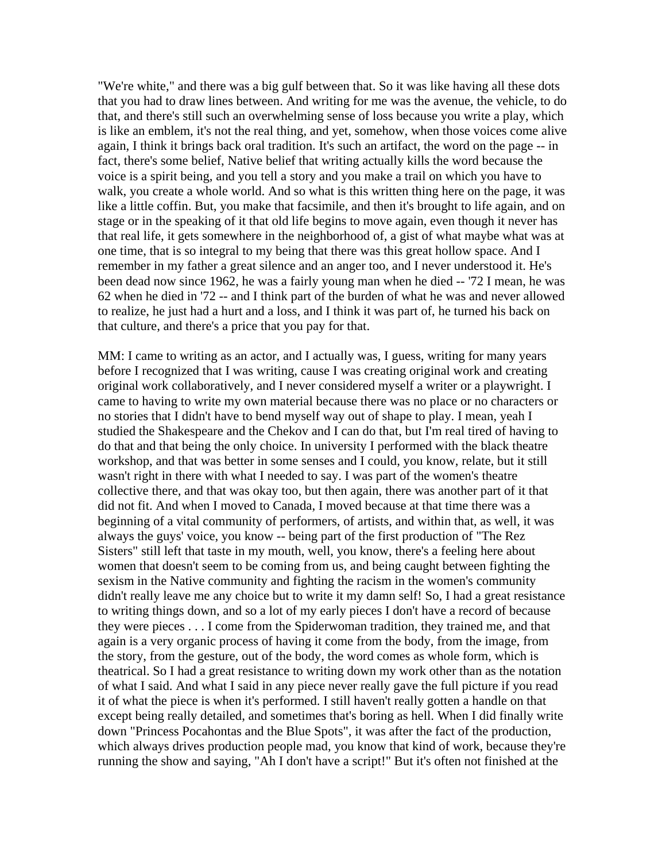"We're white," and there was a big gulf between that. So it was like having all these dots that you had to draw lines between. And writing for me was the avenue, the vehicle, to do that, and there's still such an overwhelming sense of loss because you write a play, which is like an emblem, it's not the real thing, and yet, somehow, when those voices come alive again, I think it brings back oral tradition. It's such an artifact, the word on the page -- in fact, there's some belief, Native belief that writing actually kills the word because the voice is a spirit being, and you tell a story and you make a trail on which you have to walk, you create a whole world. And so what is this written thing here on the page, it was like a little coffin. But, you make that facsimile, and then it's brought to life again, and on stage or in the speaking of it that old life begins to move again, even though it never has that real life, it gets somewhere in the neighborhood of, a gist of what maybe what was at one time, that is so integral to my being that there was this great hollow space. And I remember in my father a great silence and an anger too, and I never understood it. He's been dead now since 1962, he was a fairly young man when he died -- '72 I mean, he was 62 when he died in '72 -- and I think part of the burden of what he was and never allowed to realize, he just had a hurt and a loss, and I think it was part of, he turned his back on that culture, and there's a price that you pay for that.

MM: I came to writing as an actor, and I actually was, I guess, writing for many years before I recognized that I was writing, cause I was creating original work and creating original work collaboratively, and I never considered myself a writer or a playwright. I came to having to write my own material because there was no place or no characters or no stories that I didn't have to bend myself way out of shape to play. I mean, yeah I studied the Shakespeare and the Chekov and I can do that, but I'm real tired of having to do that and that being the only choice. In university I performed with the black theatre workshop, and that was better in some senses and I could, you know, relate, but it still wasn't right in there with what I needed to say. I was part of the women's theatre collective there, and that was okay too, but then again, there was another part of it that did not fit. And when I moved to Canada, I moved because at that time there was a beginning of a vital community of performers, of artists, and within that, as well, it was always the guys' voice, you know -- being part of the first production of "The Rez Sisters" still left that taste in my mouth, well, you know, there's a feeling here about women that doesn't seem to be coming from us, and being caught between fighting the sexism in the Native community and fighting the racism in the women's community didn't really leave me any choice but to write it my damn self! So, I had a great resistance to writing things down, and so a lot of my early pieces I don't have a record of because they were pieces . . . I come from the Spiderwoman tradition, they trained me, and that again is a very organic process of having it come from the body, from the image, from the story, from the gesture, out of the body, the word comes as whole form, which is theatrical. So I had a great resistance to writing down my work other than as the notation of what I said. And what I said in any piece never really gave the full picture if you read it of what the piece is when it's performed. I still haven't really gotten a handle on that except being really detailed, and sometimes that's boring as hell. When I did finally write down "Princess Pocahontas and the Blue Spots", it was after the fact of the production, which always drives production people mad, you know that kind of work, because they're running the show and saying, "Ah I don't have a script!" But it's often not finished at the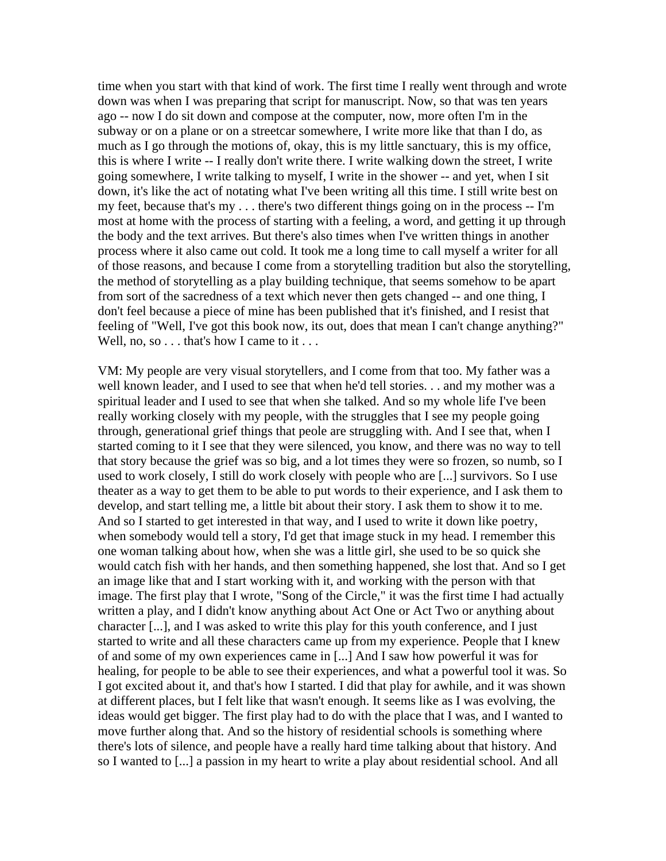time when you start with that kind of work. The first time I really went through and wrote down was when I was preparing that script for manuscript. Now, so that was ten years ago -- now I do sit down and compose at the computer, now, more often I'm in the subway or on a plane or on a streetcar somewhere, I write more like that than I do, as much as I go through the motions of, okay, this is my little sanctuary, this is my office, this is where I write -- I really don't write there. I write walking down the street, I write going somewhere, I write talking to myself, I write in the shower -- and yet, when I sit down, it's like the act of notating what I've been writing all this time. I still write best on my feet, because that's my . . . there's two different things going on in the process -- I'm most at home with the process of starting with a feeling, a word, and getting it up through the body and the text arrives. But there's also times when I've written things in another process where it also came out cold. It took me a long time to call myself a writer for all of those reasons, and because I come from a storytelling tradition but also the storytelling, the method of storytelling as a play building technique, that seems somehow to be apart from sort of the sacredness of a text which never then gets changed -- and one thing, I don't feel because a piece of mine has been published that it's finished, and I resist that feeling of "Well, I've got this book now, its out, does that mean I can't change anything?" Well, no, so . . . that's how I came to it . . .

VM: My people are very visual storytellers, and I come from that too. My father was a well known leader, and I used to see that when he'd tell stories. . . and my mother was a spiritual leader and I used to see that when she talked. And so my whole life I've been really working closely with my people, with the struggles that I see my people going through, generational grief things that peole are struggling with. And I see that, when I started coming to it I see that they were silenced, you know, and there was no way to tell that story because the grief was so big, and a lot times they were so frozen, so numb, so I used to work closely, I still do work closely with people who are [...] survivors. So I use theater as a way to get them to be able to put words to their experience, and I ask them to develop, and start telling me, a little bit about their story. I ask them to show it to me. And so I started to get interested in that way, and I used to write it down like poetry, when somebody would tell a story, I'd get that image stuck in my head. I remember this one woman talking about how, when she was a little girl, she used to be so quick she would catch fish with her hands, and then something happened, she lost that. And so I get an image like that and I start working with it, and working with the person with that image. The first play that I wrote, "Song of the Circle," it was the first time I had actually written a play, and I didn't know anything about Act One or Act Two or anything about character [...], and I was asked to write this play for this youth conference, and I just started to write and all these characters came up from my experience. People that I knew of and some of my own experiences came in [...] And I saw how powerful it was for healing, for people to be able to see their experiences, and what a powerful tool it was. So I got excited about it, and that's how I started. I did that play for awhile, and it was shown at different places, but I felt like that wasn't enough. It seems like as I was evolving, the ideas would get bigger. The first play had to do with the place that I was, and I wanted to move further along that. And so the history of residential schools is something where there's lots of silence, and people have a really hard time talking about that history. And so I wanted to [...] a passion in my heart to write a play about residential school. And all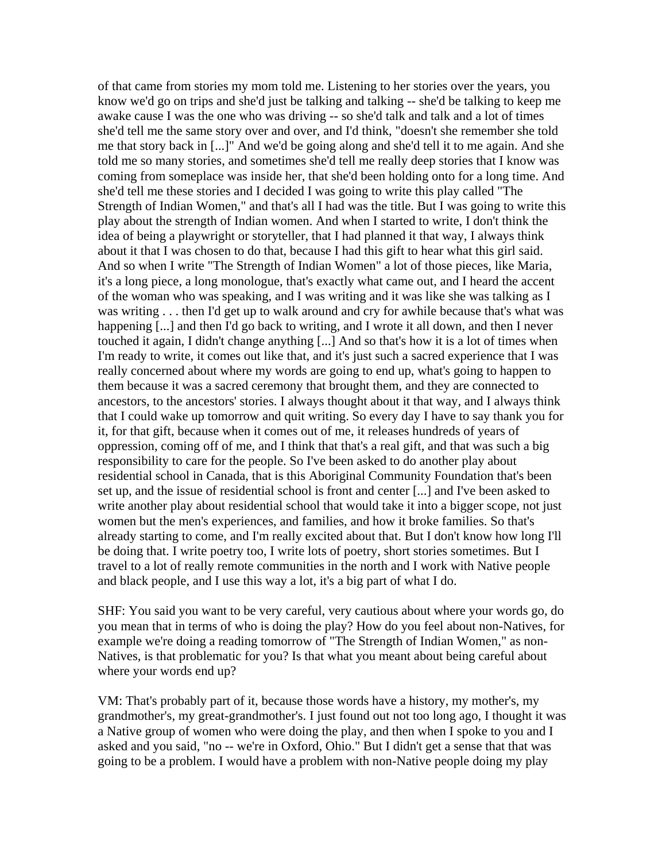of that came from stories my mom told me. Listening to her stories over the years, you know we'd go on trips and she'd just be talking and talking -- she'd be talking to keep me awake cause I was the one who was driving -- so she'd talk and talk and a lot of times she'd tell me the same story over and over, and I'd think, "doesn't she remember she told me that story back in [...]" And we'd be going along and she'd tell it to me again. And she told me so many stories, and sometimes she'd tell me really deep stories that I know was coming from someplace was inside her, that she'd been holding onto for a long time. And she'd tell me these stories and I decided I was going to write this play called "The Strength of Indian Women," and that's all I had was the title. But I was going to write this play about the strength of Indian women. And when I started to write, I don't think the idea of being a playwright or storyteller, that I had planned it that way, I always think about it that I was chosen to do that, because I had this gift to hear what this girl said. And so when I write "The Strength of Indian Women" a lot of those pieces, like Maria, it's a long piece, a long monologue, that's exactly what came out, and I heard the accent of the woman who was speaking, and I was writing and it was like she was talking as I was writing . . . then I'd get up to walk around and cry for awhile because that's what was happening [...] and then I'd go back to writing, and I wrote it all down, and then I never touched it again, I didn't change anything [...] And so that's how it is a lot of times when I'm ready to write, it comes out like that, and it's just such a sacred experience that I was really concerned about where my words are going to end up, what's going to happen to them because it was a sacred ceremony that brought them, and they are connected to ancestors, to the ancestors' stories. I always thought about it that way, and I always think that I could wake up tomorrow and quit writing. So every day I have to say thank you for it, for that gift, because when it comes out of me, it releases hundreds of years of oppression, coming off of me, and I think that that's a real gift, and that was such a big responsibility to care for the people. So I've been asked to do another play about residential school in Canada, that is this Aboriginal Community Foundation that's been set up, and the issue of residential school is front and center [...] and I've been asked to write another play about residential school that would take it into a bigger scope, not just women but the men's experiences, and families, and how it broke families. So that's already starting to come, and I'm really excited about that. But I don't know how long I'll be doing that. I write poetry too, I write lots of poetry, short stories sometimes. But I travel to a lot of really remote communities in the north and I work with Native people and black people, and I use this way a lot, it's a big part of what I do.

SHF: You said you want to be very careful, very cautious about where your words go, do you mean that in terms of who is doing the play? How do you feel about non-Natives, for example we're doing a reading tomorrow of "The Strength of Indian Women," as non-Natives, is that problematic for you? Is that what you meant about being careful about where your words end up?

VM: That's probably part of it, because those words have a history, my mother's, my grandmother's, my great-grandmother's. I just found out not too long ago, I thought it was a Native group of women who were doing the play, and then when I spoke to you and I asked and you said, "no -- we're in Oxford, Ohio." But I didn't get a sense that that was going to be a problem. I would have a problem with non-Native people doing my play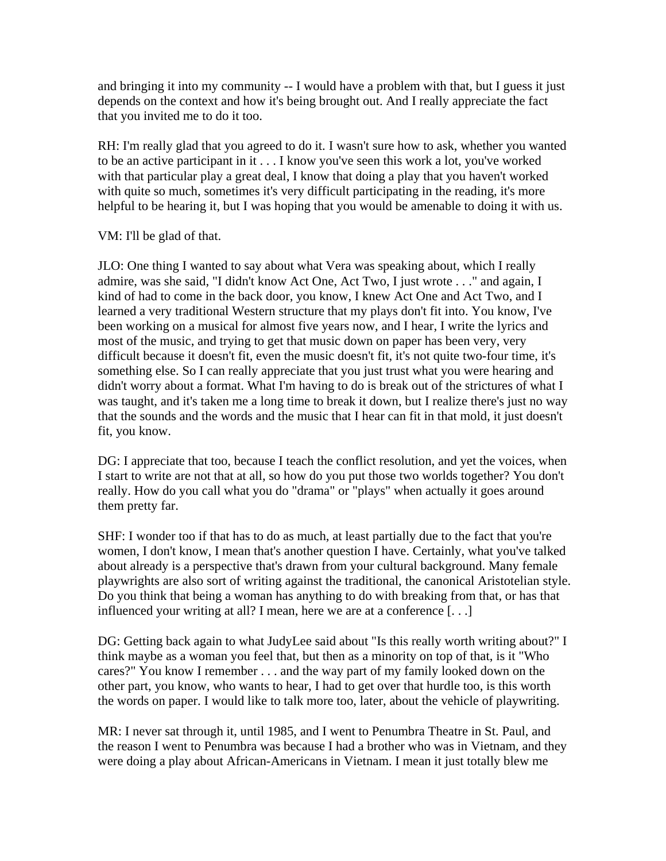and bringing it into my community -- I would have a problem with that, but I guess it just depends on the context and how it's being brought out. And I really appreciate the fact that you invited me to do it too.

RH: I'm really glad that you agreed to do it. I wasn't sure how to ask, whether you wanted to be an active participant in it . . . I know you've seen this work a lot, you've worked with that particular play a great deal, I know that doing a play that you haven't worked with quite so much, sometimes it's very difficult participating in the reading, it's more helpful to be hearing it, but I was hoping that you would be amenable to doing it with us.

VM: I'll be glad of that.

JLO: One thing I wanted to say about what Vera was speaking about, which I really admire, was she said, "I didn't know Act One, Act Two, I just wrote . . ." and again, I kind of had to come in the back door, you know, I knew Act One and Act Two, and I learned a very traditional Western structure that my plays don't fit into. You know, I've been working on a musical for almost five years now, and I hear, I write the lyrics and most of the music, and trying to get that music down on paper has been very, very difficult because it doesn't fit, even the music doesn't fit, it's not quite two-four time, it's something else. So I can really appreciate that you just trust what you were hearing and didn't worry about a format. What I'm having to do is break out of the strictures of what I was taught, and it's taken me a long time to break it down, but I realize there's just no way that the sounds and the words and the music that I hear can fit in that mold, it just doesn't fit, you know.

DG: I appreciate that too, because I teach the conflict resolution, and yet the voices, when I start to write are not that at all, so how do you put those two worlds together? You don't really. How do you call what you do "drama" or "plays" when actually it goes around them pretty far.

SHF: I wonder too if that has to do as much, at least partially due to the fact that you're women, I don't know, I mean that's another question I have. Certainly, what you've talked about already is a perspective that's drawn from your cultural background. Many female playwrights are also sort of writing against the traditional, the canonical Aristotelian style. Do you think that being a woman has anything to do with breaking from that, or has that influenced your writing at all? I mean, here we are at a conference [. . .]

DG: Getting back again to what JudyLee said about "Is this really worth writing about?" I think maybe as a woman you feel that, but then as a minority on top of that, is it "Who cares?" You know I remember . . . and the way part of my family looked down on the other part, you know, who wants to hear, I had to get over that hurdle too, is this worth the words on paper. I would like to talk more too, later, about the vehicle of playwriting.

MR: I never sat through it, until 1985, and I went to Penumbra Theatre in St. Paul, and the reason I went to Penumbra was because I had a brother who was in Vietnam, and they were doing a play about African-Americans in Vietnam. I mean it just totally blew me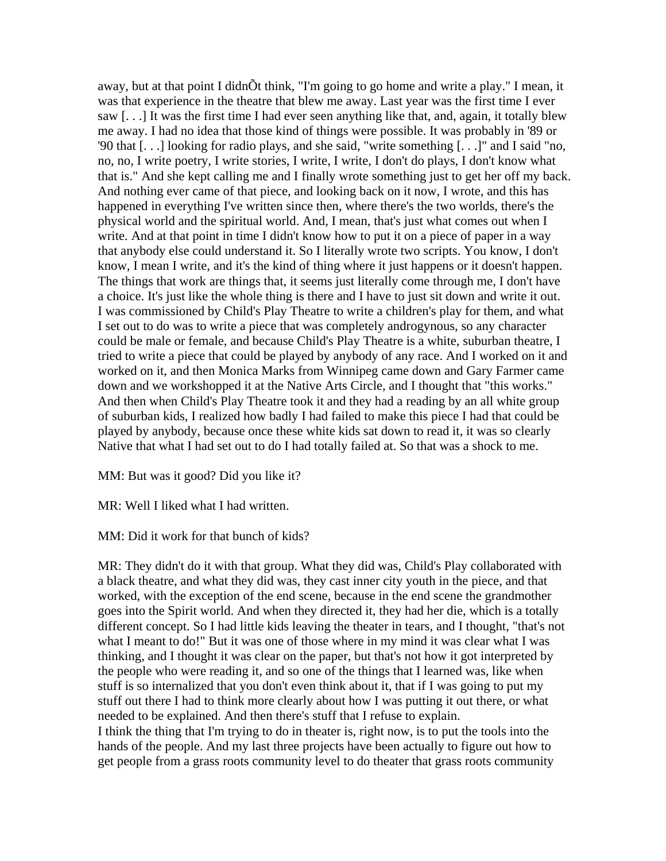away, but at that point I didnÕt think, "I'm going to go home and write a play." I mean, it was that experience in the theatre that blew me away. Last year was the first time I ever saw [. . .] It was the first time I had ever seen anything like that, and, again, it totally blew me away. I had no idea that those kind of things were possible. It was probably in '89 or '90 that [...] looking for radio plays, and she said, "write something [...]" and I said "no, no, no, I write poetry, I write stories, I write, I write, I don't do plays, I don't know what that is." And she kept calling me and I finally wrote something just to get her off my back. And nothing ever came of that piece, and looking back on it now, I wrote, and this has happened in everything I've written since then, where there's the two worlds, there's the physical world and the spiritual world. And, I mean, that's just what comes out when I write. And at that point in time I didn't know how to put it on a piece of paper in a way that anybody else could understand it. So I literally wrote two scripts. You know, I don't know, I mean I write, and it's the kind of thing where it just happens or it doesn't happen. The things that work are things that, it seems just literally come through me, I don't have a choice. It's just like the whole thing is there and I have to just sit down and write it out. I was commissioned by Child's Play Theatre to write a children's play for them, and what I set out to do was to write a piece that was completely androgynous, so any character could be male or female, and because Child's Play Theatre is a white, suburban theatre, I tried to write a piece that could be played by anybody of any race. And I worked on it and worked on it, and then Monica Marks from Winnipeg came down and Gary Farmer came down and we workshopped it at the Native Arts Circle, and I thought that "this works." And then when Child's Play Theatre took it and they had a reading by an all white group of suburban kids, I realized how badly I had failed to make this piece I had that could be played by anybody, because once these white kids sat down to read it, it was so clearly Native that what I had set out to do I had totally failed at. So that was a shock to me.

MM: But was it good? Did you like it?

MR: Well I liked what I had written.

MM: Did it work for that bunch of kids?

MR: They didn't do it with that group. What they did was, Child's Play collaborated with a black theatre, and what they did was, they cast inner city youth in the piece, and that worked, with the exception of the end scene, because in the end scene the grandmother goes into the Spirit world. And when they directed it, they had her die, which is a totally different concept. So I had little kids leaving the theater in tears, and I thought, "that's not what I meant to do!" But it was one of those where in my mind it was clear what I was thinking, and I thought it was clear on the paper, but that's not how it got interpreted by the people who were reading it, and so one of the things that I learned was, like when stuff is so internalized that you don't even think about it, that if I was going to put my stuff out there I had to think more clearly about how I was putting it out there, or what needed to be explained. And then there's stuff that I refuse to explain.

I think the thing that I'm trying to do in theater is, right now, is to put the tools into the hands of the people. And my last three projects have been actually to figure out how to get people from a grass roots community level to do theater that grass roots community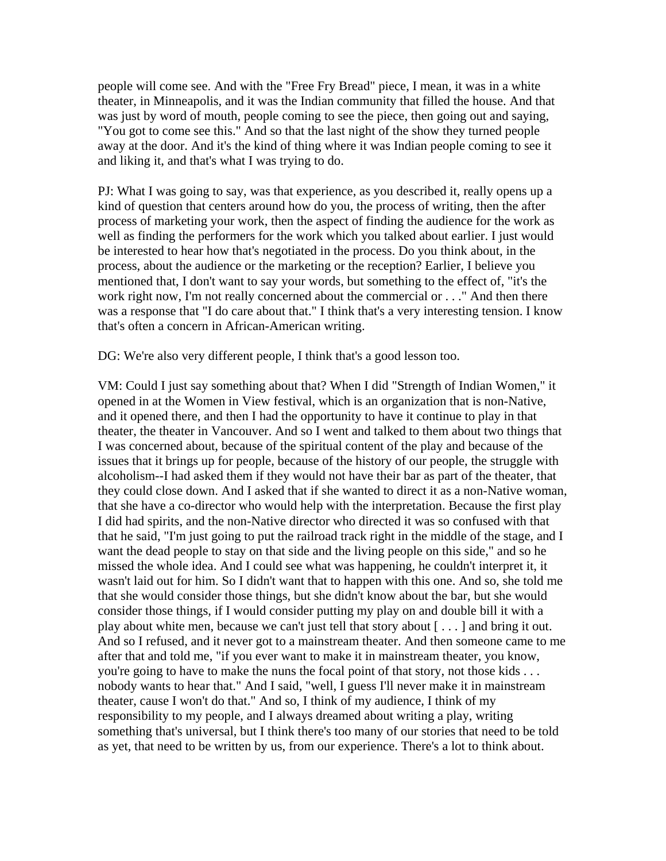people will come see. And with the "Free Fry Bread" piece, I mean, it was in a white theater, in Minneapolis, and it was the Indian community that filled the house. And that was just by word of mouth, people coming to see the piece, then going out and saying, "You got to come see this." And so that the last night of the show they turned people away at the door. And it's the kind of thing where it was Indian people coming to see it and liking it, and that's what I was trying to do.

PJ: What I was going to say, was that experience, as you described it, really opens up a kind of question that centers around how do you, the process of writing, then the after process of marketing your work, then the aspect of finding the audience for the work as well as finding the performers for the work which you talked about earlier. I just would be interested to hear how that's negotiated in the process. Do you think about, in the process, about the audience or the marketing or the reception? Earlier, I believe you mentioned that, I don't want to say your words, but something to the effect of, "it's the work right now, I'm not really concerned about the commercial or . . ." And then there was a response that "I do care about that." I think that's a very interesting tension. I know that's often a concern in African-American writing.

DG: We're also very different people, I think that's a good lesson too.

VM: Could I just say something about that? When I did "Strength of Indian Women," it opened in at the Women in View festival, which is an organization that is non-Native, and it opened there, and then I had the opportunity to have it continue to play in that theater, the theater in Vancouver. And so I went and talked to them about two things that I was concerned about, because of the spiritual content of the play and because of the issues that it brings up for people, because of the history of our people, the struggle with alcoholism--I had asked them if they would not have their bar as part of the theater, that they could close down. And I asked that if she wanted to direct it as a non-Native woman, that she have a co-director who would help with the interpretation. Because the first play I did had spirits, and the non-Native director who directed it was so confused with that that he said, "I'm just going to put the railroad track right in the middle of the stage, and I want the dead people to stay on that side and the living people on this side," and so he missed the whole idea. And I could see what was happening, he couldn't interpret it, it wasn't laid out for him. So I didn't want that to happen with this one. And so, she told me that she would consider those things, but she didn't know about the bar, but she would consider those things, if I would consider putting my play on and double bill it with a play about white men, because we can't just tell that story about [ . . . ] and bring it out. And so I refused, and it never got to a mainstream theater. And then someone came to me after that and told me, "if you ever want to make it in mainstream theater, you know, you're going to have to make the nuns the focal point of that story, not those kids . . . nobody wants to hear that." And I said, "well, I guess I'll never make it in mainstream theater, cause I won't do that." And so, I think of my audience, I think of my responsibility to my people, and I always dreamed about writing a play, writing something that's universal, but I think there's too many of our stories that need to be told as yet, that need to be written by us, from our experience. There's a lot to think about.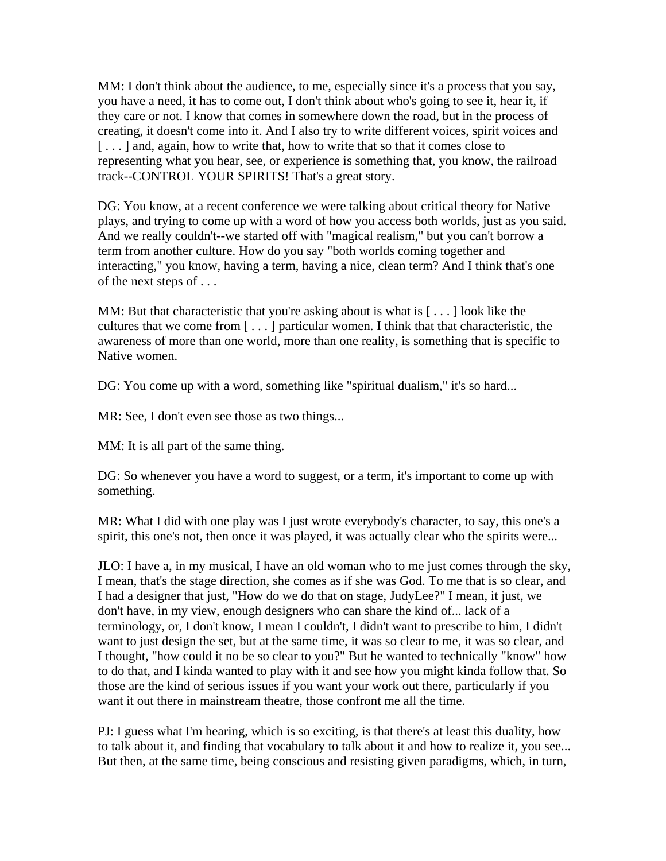MM: I don't think about the audience, to me, especially since it's a process that you say, you have a need, it has to come out, I don't think about who's going to see it, hear it, if they care or not. I know that comes in somewhere down the road, but in the process of creating, it doesn't come into it. And I also try to write different voices, spirit voices and [...] and, again, how to write that, how to write that so that it comes close to representing what you hear, see, or experience is something that, you know, the railroad track--CONTROL YOUR SPIRITS! That's a great story.

DG: You know, at a recent conference we were talking about critical theory for Native plays, and trying to come up with a word of how you access both worlds, just as you said. And we really couldn't--we started off with "magical realism," but you can't borrow a term from another culture. How do you say "both worlds coming together and interacting," you know, having a term, having a nice, clean term? And I think that's one of the next steps of . . .

MM: But that characteristic that you're asking about is what is  $[\ldots]$  look like the cultures that we come from [ . . . ] particular women. I think that that characteristic, the awareness of more than one world, more than one reality, is something that is specific to Native women.

DG: You come up with a word, something like "spiritual dualism," it's so hard...

MR: See, I don't even see those as two things...

MM: It is all part of the same thing.

DG: So whenever you have a word to suggest, or a term, it's important to come up with something.

MR: What I did with one play was I just wrote everybody's character, to say, this one's a spirit, this one's not, then once it was played, it was actually clear who the spirits were...

JLO: I have a, in my musical, I have an old woman who to me just comes through the sky, I mean, that's the stage direction, she comes as if she was God. To me that is so clear, and I had a designer that just, "How do we do that on stage, JudyLee?" I mean, it just, we don't have, in my view, enough designers who can share the kind of... lack of a terminology, or, I don't know, I mean I couldn't, I didn't want to prescribe to him, I didn't want to just design the set, but at the same time, it was so clear to me, it was so clear, and I thought, "how could it no be so clear to you?" But he wanted to technically "know" how to do that, and I kinda wanted to play with it and see how you might kinda follow that. So those are the kind of serious issues if you want your work out there, particularly if you want it out there in mainstream theatre, those confront me all the time.

PJ: I guess what I'm hearing, which is so exciting, is that there's at least this duality, how to talk about it, and finding that vocabulary to talk about it and how to realize it, you see... But then, at the same time, being conscious and resisting given paradigms, which, in turn,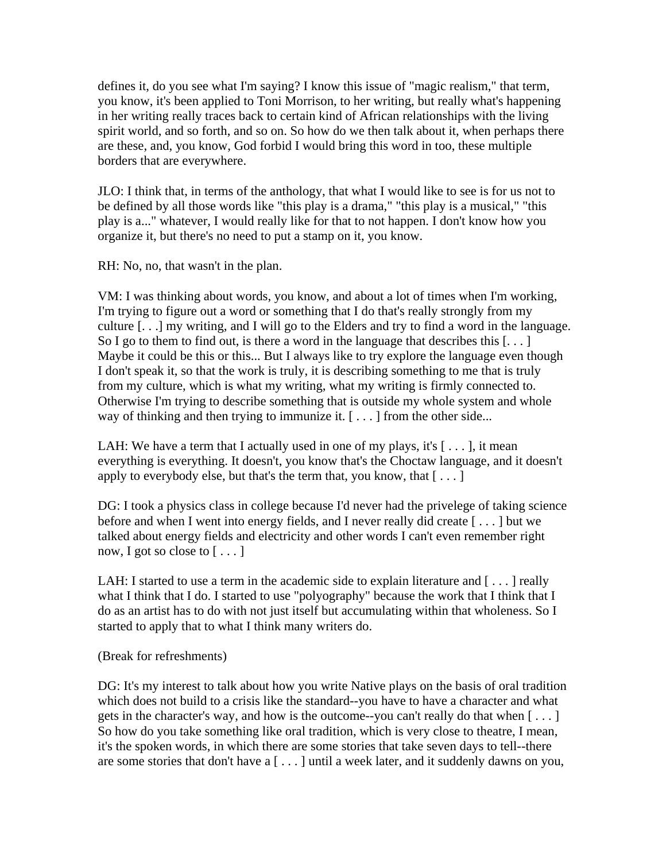defines it, do you see what I'm saying? I know this issue of "magic realism," that term, you know, it's been applied to Toni Morrison, to her writing, but really what's happening in her writing really traces back to certain kind of African relationships with the living spirit world, and so forth, and so on. So how do we then talk about it, when perhaps there are these, and, you know, God forbid I would bring this word in too, these multiple borders that are everywhere.

JLO: I think that, in terms of the anthology, that what I would like to see is for us not to be defined by all those words like "this play is a drama," "this play is a musical," "this play is a..." whatever, I would really like for that to not happen. I don't know how you organize it, but there's no need to put a stamp on it, you know.

RH: No, no, that wasn't in the plan.

VM: I was thinking about words, you know, and about a lot of times when I'm working, I'm trying to figure out a word or something that I do that's really strongly from my culture [. . .] my writing, and I will go to the Elders and try to find a word in the language. So I go to them to find out, is there a word in the language that describes this  $[\dots]$ Maybe it could be this or this... But I always like to try explore the language even though I don't speak it, so that the work is truly, it is describing something to me that is truly from my culture, which is what my writing, what my writing is firmly connected to. Otherwise I'm trying to describe something that is outside my whole system and whole way of thinking and then trying to immunize it. [...] from the other side...

LAH: We have a term that I actually used in one of my plays, it's  $[\ldots]$ , it mean everything is everything. It doesn't, you know that's the Choctaw language, and it doesn't apply to everybody else, but that's the term that, you know, that  $[\ldots]$ 

DG: I took a physics class in college because I'd never had the privelege of taking science before and when I went into energy fields, and I never really did create [ . . . ] but we talked about energy fields and electricity and other words I can't even remember right now, I got so close to  $[\dots]$ 

LAH: I started to use a term in the academic side to explain literature and  $[\ldots]$  really what I think that I do. I started to use "polyography" because the work that I think that I do as an artist has to do with not just itself but accumulating within that wholeness. So I started to apply that to what I think many writers do.

(Break for refreshments)

DG: It's my interest to talk about how you write Native plays on the basis of oral tradition which does not build to a crisis like the standard--you have to have a character and what gets in the character's way, and how is the outcome--you can't really do that when [ . . . ] So how do you take something like oral tradition, which is very close to theatre, I mean, it's the spoken words, in which there are some stories that take seven days to tell--there are some stories that don't have a [ . . . ] until a week later, and it suddenly dawns on you,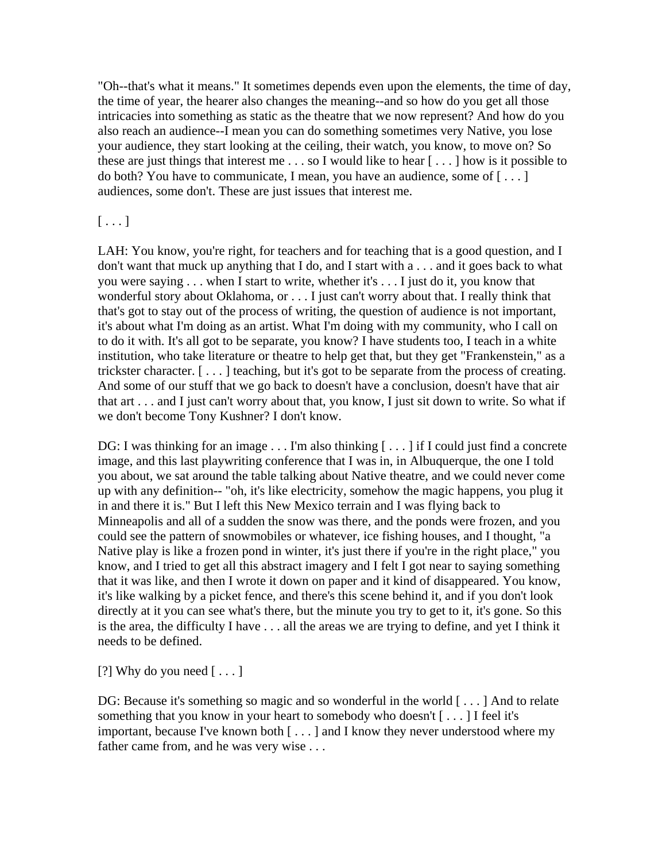"Oh--that's what it means." It sometimes depends even upon the elements, the time of day, the time of year, the hearer also changes the meaning--and so how do you get all those intricacies into something as static as the theatre that we now represent? And how do you also reach an audience--I mean you can do something sometimes very Native, you lose your audience, they start looking at the ceiling, their watch, you know, to move on? So these are just things that interest me . . . so I would like to hear [ . . . ] how is it possible to do both? You have to communicate, I mean, you have an audience, some of  $[\ldots]$ audiences, some don't. These are just issues that interest me.

## $[\ldots]$

LAH: You know, you're right, for teachers and for teaching that is a good question, and I don't want that muck up anything that I do, and I start with a . . . and it goes back to what you were saying . . . when I start to write, whether it's . . . I just do it, you know that wonderful story about Oklahoma, or . . . I just can't worry about that. I really think that that's got to stay out of the process of writing, the question of audience is not important, it's about what I'm doing as an artist. What I'm doing with my community, who I call on to do it with. It's all got to be separate, you know? I have students too, I teach in a white institution, who take literature or theatre to help get that, but they get "Frankenstein," as a trickster character. [ . . . ] teaching, but it's got to be separate from the process of creating. And some of our stuff that we go back to doesn't have a conclusion, doesn't have that air that art . . . and I just can't worry about that, you know, I just sit down to write. So what if we don't become Tony Kushner? I don't know.

DG: I was thinking for an image . . . I'm also thinking [...] if I could just find a concrete image, and this last playwriting conference that I was in, in Albuquerque, the one I told you about, we sat around the table talking about Native theatre, and we could never come up with any definition-- "oh, it's like electricity, somehow the magic happens, you plug it in and there it is." But I left this New Mexico terrain and I was flying back to Minneapolis and all of a sudden the snow was there, and the ponds were frozen, and you could see the pattern of snowmobiles or whatever, ice fishing houses, and I thought, "a Native play is like a frozen pond in winter, it's just there if you're in the right place," you know, and I tried to get all this abstract imagery and I felt I got near to saying something that it was like, and then I wrote it down on paper and it kind of disappeared. You know, it's like walking by a picket fence, and there's this scene behind it, and if you don't look directly at it you can see what's there, but the minute you try to get to it, it's gone. So this is the area, the difficulty I have . . . all the areas we are trying to define, and yet I think it needs to be defined.

[?] Why do you need  $[\dots]$ 

DG: Because it's something so magic and so wonderful in the world [...] And to relate something that you know in your heart to somebody who doesn't [ . . . ] I feel it's important, because I've known both [...] and I know they never understood where my father came from, and he was very wise ...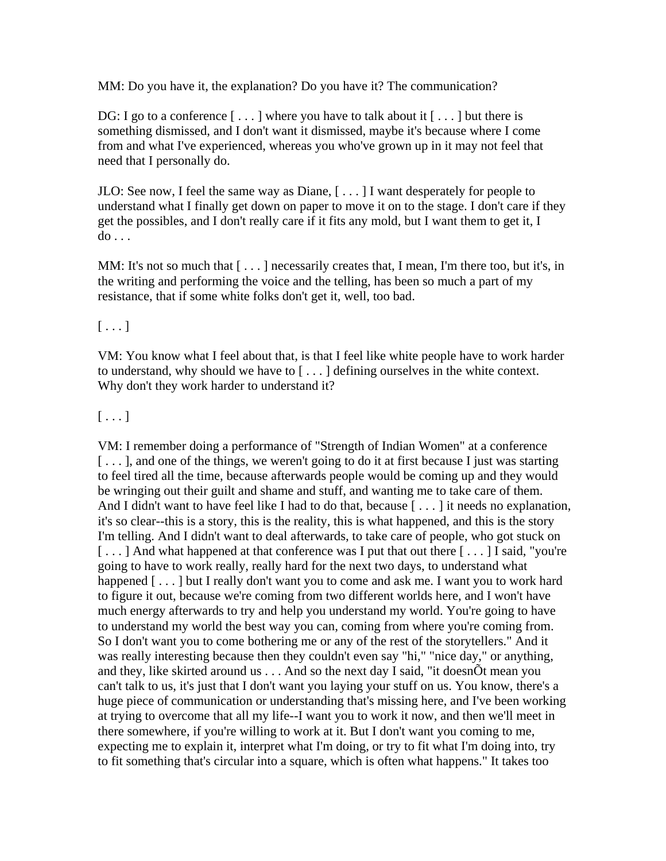MM: Do you have it, the explanation? Do you have it? The communication?

DG: I go to a conference  $[\ldots]$  where you have to talk about it  $[\ldots]$  but there is something dismissed, and I don't want it dismissed, maybe it's because where I come from and what I've experienced, whereas you who've grown up in it may not feel that need that I personally do.

JLO: See now, I feel the same way as Diane, [ . . . ] I want desperately for people to understand what I finally get down on paper to move it on to the stage. I don't care if they get the possibles, and I don't really care if it fits any mold, but I want them to get it, I do . . .

MM: It's not so much that  $[\dots]$  necessarily creates that, I mean, I'm there too, but it's, in the writing and performing the voice and the telling, has been so much a part of my resistance, that if some white folks don't get it, well, too bad.

#### $[\ldots]$

VM: You know what I feel about that, is that I feel like white people have to work harder to understand, why should we have to [ . . . ] defining ourselves in the white context. Why don't they work harder to understand it?

## $[\ldots]$

VM: I remember doing a performance of "Strength of Indian Women" at a conference [...], and one of the things, we weren't going to do it at first because I just was starting to feel tired all the time, because afterwards people would be coming up and they would be wringing out their guilt and shame and stuff, and wanting me to take care of them. And I didn't want to have feel like I had to do that, because [...] it needs no explanation, it's so clear--this is a story, this is the reality, this is what happened, and this is the story I'm telling. And I didn't want to deal afterwards, to take care of people, who got stuck on [...] And what happened at that conference was I put that out there [...] I said, "you're going to have to work really, really hard for the next two days, to understand what happened [...] but I really don't want you to come and ask me. I want you to work hard to figure it out, because we're coming from two different worlds here, and I won't have much energy afterwards to try and help you understand my world. You're going to have to understand my world the best way you can, coming from where you're coming from. So I don't want you to come bothering me or any of the rest of the storytellers." And it was really interesting because then they couldn't even say "hi," "nice day," or anything, and they, like skirted around us . . . And so the next day I said, "it doesnÕt mean you can't talk to us, it's just that I don't want you laying your stuff on us. You know, there's a huge piece of communication or understanding that's missing here, and I've been working at trying to overcome that all my life--I want you to work it now, and then we'll meet in there somewhere, if you're willing to work at it. But I don't want you coming to me, expecting me to explain it, interpret what I'm doing, or try to fit what I'm doing into, try to fit something that's circular into a square, which is often what happens." It takes too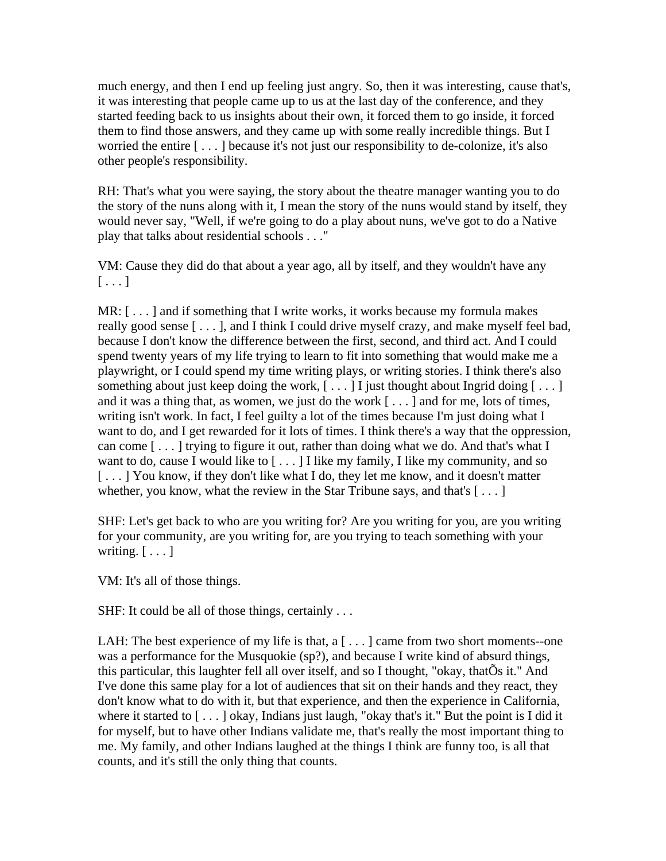much energy, and then I end up feeling just angry. So, then it was interesting, cause that's, it was interesting that people came up to us at the last day of the conference, and they started feeding back to us insights about their own, it forced them to go inside, it forced them to find those answers, and they came up with some really incredible things. But I worried the entire [ . . . ] because it's not just our responsibility to de-colonize, it's also other people's responsibility.

RH: That's what you were saying, the story about the theatre manager wanting you to do the story of the nuns along with it, I mean the story of the nuns would stand by itself, they would never say, "Well, if we're going to do a play about nuns, we've got to do a Native play that talks about residential schools . . ."

VM: Cause they did do that about a year ago, all by itself, and they wouldn't have any  $[\ldots]$ 

MR: [ . . . ] and if something that I write works, it works because my formula makes really good sense [ . . . ], and I think I could drive myself crazy, and make myself feel bad, because I don't know the difference between the first, second, and third act. And I could spend twenty years of my life trying to learn to fit into something that would make me a playwright, or I could spend my time writing plays, or writing stories. I think there's also something about just keep doing the work,  $[\dots]$  I just thought about Ingrid doing  $[\dots]$ and it was a thing that, as women, we just do the work [ . . . ] and for me, lots of times, writing isn't work. In fact, I feel guilty a lot of the times because I'm just doing what I want to do, and I get rewarded for it lots of times. I think there's a way that the oppression, can come [ . . . ] trying to figure it out, rather than doing what we do. And that's what I want to do, cause I would like to  $[\dots]$  I like my family, I like my community, and so [...] You know, if they don't like what I do, they let me know, and it doesn't matter whether, you know, what the review in the Star Tribune says, and that's  $[\ldots]$ 

SHF: Let's get back to who are you writing for? Are you writing for you, are you writing for your community, are you writing for, are you trying to teach something with your writing.  $[\ldots]$ 

VM: It's all of those things.

SHF: It could be all of those things, certainly ...

LAH: The best experience of my life is that,  $a \, | \, \dots \, |$  came from two short moments--one was a performance for the Musquokie (sp?), and because I write kind of absurd things, this particular, this laughter fell all over itself, and so I thought, "okay, thatÕs it." And I've done this same play for a lot of audiences that sit on their hands and they react, they don't know what to do with it, but that experience, and then the experience in California, where it started to [...] okay, Indians just laugh, "okay that's it." But the point is I did it for myself, but to have other Indians validate me, that's really the most important thing to me. My family, and other Indians laughed at the things I think are funny too, is all that counts, and it's still the only thing that counts.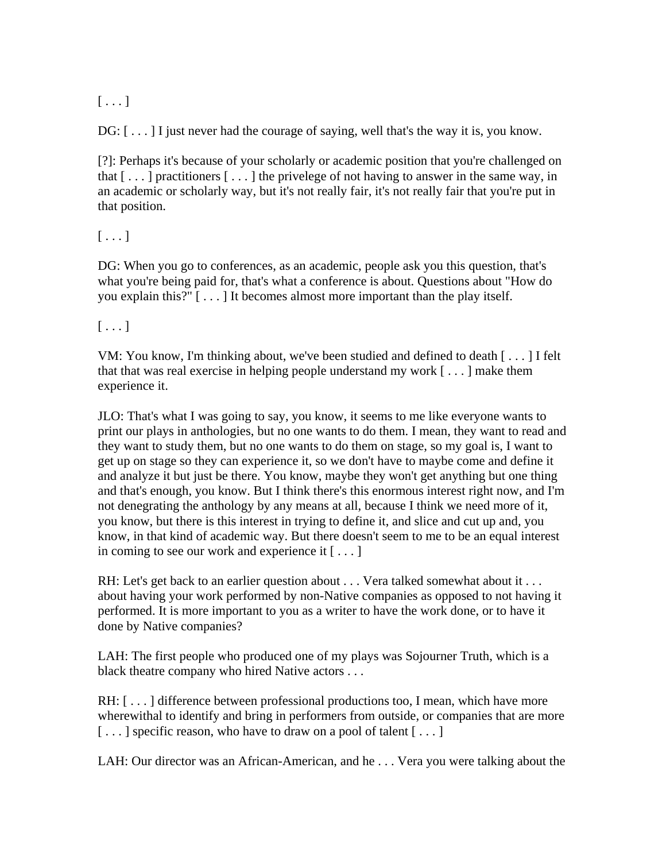# $[\ldots]$

DG:  $[\dots]$  I just never had the courage of saying, well that's the way it is, you know.

[?]: Perhaps it's because of your scholarly or academic position that you're challenged on that  $[\dots]$  practitioners  $[\dots]$  the privelege of not having to answer in the same way, in an academic or scholarly way, but it's not really fair, it's not really fair that you're put in that position.

## $[\ldots]$

DG: When you go to conferences, as an academic, people ask you this question, that's what you're being paid for, that's what a conference is about. Questions about "How do you explain this?" [ . . . ] It becomes almost more important than the play itself.

## $[\ldots]$

VM: You know, I'm thinking about, we've been studied and defined to death [ . . . ] I felt that that was real exercise in helping people understand my work [ . . . ] make them experience it.

JLO: That's what I was going to say, you know, it seems to me like everyone wants to print our plays in anthologies, but no one wants to do them. I mean, they want to read and they want to study them, but no one wants to do them on stage, so my goal is, I want to get up on stage so they can experience it, so we don't have to maybe come and define it and analyze it but just be there. You know, maybe they won't get anything but one thing and that's enough, you know. But I think there's this enormous interest right now, and I'm not denegrating the anthology by any means at all, because I think we need more of it, you know, but there is this interest in trying to define it, and slice and cut up and, you know, in that kind of academic way. But there doesn't seem to me to be an equal interest in coming to see our work and experience it [ . . . ]

RH: Let's get back to an earlier question about . . . Vera talked somewhat about it . . . about having your work performed by non-Native companies as opposed to not having it performed. It is more important to you as a writer to have the work done, or to have it done by Native companies?

LAH: The first people who produced one of my plays was Sojourner Truth, which is a black theatre company who hired Native actors . . .

RH: [...] difference between professional productions too, I mean, which have more wherewithal to identify and bring in performers from outside, or companies that are more [...] specific reason, who have to draw on a pool of talent [...]

LAH: Our director was an African-American, and he . . . Vera you were talking about the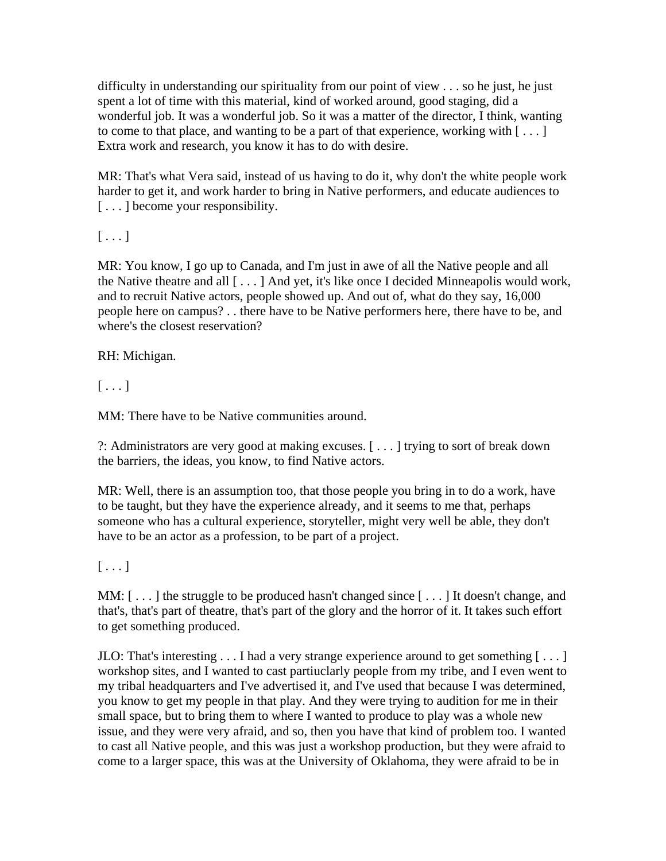difficulty in understanding our spirituality from our point of view . . . so he just, he just spent a lot of time with this material, kind of worked around, good staging, did a wonderful job. It was a wonderful job. So it was a matter of the director, I think, wanting to come to that place, and wanting to be a part of that experience, working with  $[\ldots]$ Extra work and research, you know it has to do with desire.

MR: That's what Vera said, instead of us having to do it, why don't the white people work harder to get it, and work harder to bring in Native performers, and educate audiences to [...] become your responsibility.

 $[\ldots]$ 

MR: You know, I go up to Canada, and I'm just in awe of all the Native people and all the Native theatre and all [ . . . ] And yet, it's like once I decided Minneapolis would work, and to recruit Native actors, people showed up. And out of, what do they say, 16,000 people here on campus? . . there have to be Native performers here, there have to be, and where's the closest reservation?

RH: Michigan.

 $[\ldots]$ 

MM: There have to be Native communities around.

?: Administrators are very good at making excuses. [ . . . ] trying to sort of break down the barriers, the ideas, you know, to find Native actors.

MR: Well, there is an assumption too, that those people you bring in to do a work, have to be taught, but they have the experience already, and it seems to me that, perhaps someone who has a cultural experience, storyteller, might very well be able, they don't have to be an actor as a profession, to be part of a project.

 $[\ldots]$ 

MM: [...] the struggle to be produced hasn't changed since [...] It doesn't change, and that's, that's part of theatre, that's part of the glory and the horror of it. It takes such effort to get something produced.

JLO: That's interesting  $\dots$  I had a very strange experience around to get something  $[\dots]$ workshop sites, and I wanted to cast partiuclarly people from my tribe, and I even went to my tribal headquarters and I've advertised it, and I've used that because I was determined, you know to get my people in that play. And they were trying to audition for me in their small space, but to bring them to where I wanted to produce to play was a whole new issue, and they were very afraid, and so, then you have that kind of problem too. I wanted to cast all Native people, and this was just a workshop production, but they were afraid to come to a larger space, this was at the University of Oklahoma, they were afraid to be in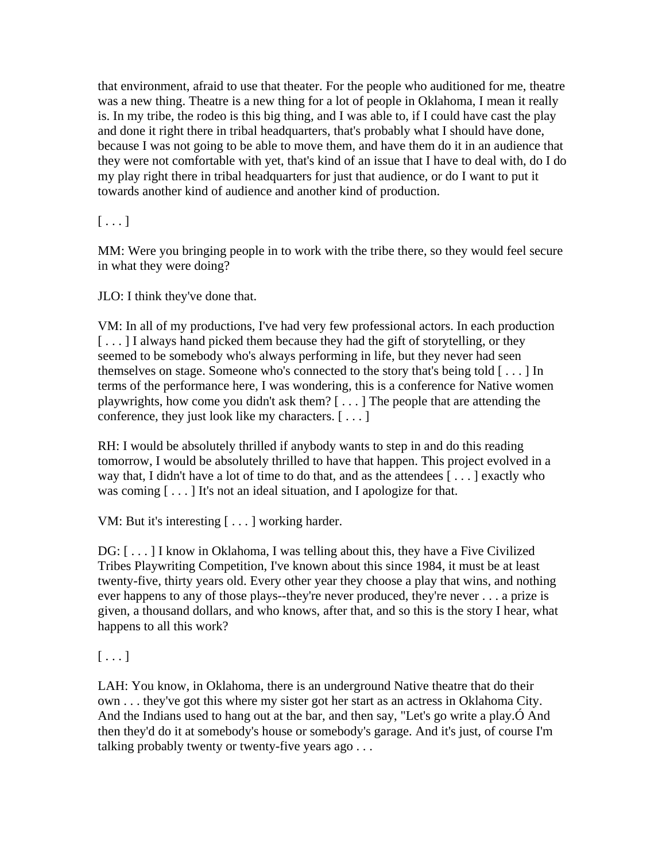that environment, afraid to use that theater. For the people who auditioned for me, theatre was a new thing. Theatre is a new thing for a lot of people in Oklahoma, I mean it really is. In my tribe, the rodeo is this big thing, and I was able to, if I could have cast the play and done it right there in tribal headquarters, that's probably what I should have done, because I was not going to be able to move them, and have them do it in an audience that they were not comfortable with yet, that's kind of an issue that I have to deal with, do I do my play right there in tribal headquarters for just that audience, or do I want to put it towards another kind of audience and another kind of production.

## $[\ldots]$

MM: Were you bringing people in to work with the tribe there, so they would feel secure in what they were doing?

JLO: I think they've done that.

VM: In all of my productions, I've had very few professional actors. In each production [...] I always hand picked them because they had the gift of storytelling, or they seemed to be somebody who's always performing in life, but they never had seen themselves on stage. Someone who's connected to the story that's being told [ . . . ] In terms of the performance here, I was wondering, this is a conference for Native women playwrights, how come you didn't ask them? [ . . . ] The people that are attending the conference, they just look like my characters. [ . . . ]

RH: I would be absolutely thrilled if anybody wants to step in and do this reading tomorrow, I would be absolutely thrilled to have that happen. This project evolved in a way that, I didn't have a lot of time to do that, and as the attendees [ . . . ] exactly who was coming [...] It's not an ideal situation, and I apologize for that.

VM: But it's interesting [ . . . ] working harder.

DG: [ . . . ] I know in Oklahoma, I was telling about this, they have a Five Civilized Tribes Playwriting Competition, I've known about this since 1984, it must be at least twenty-five, thirty years old. Every other year they choose a play that wins, and nothing ever happens to any of those plays--they're never produced, they're never . . . a prize is given, a thousand dollars, and who knows, after that, and so this is the story I hear, what happens to all this work?

 $[\ldots]$ 

LAH: You know, in Oklahoma, there is an underground Native theatre that do their own . . . they've got this where my sister got her start as an actress in Oklahoma City. And the Indians used to hang out at the bar, and then say, "Let's go write a play.Ó And then they'd do it at somebody's house or somebody's garage. And it's just, of course I'm talking probably twenty or twenty-five years ago . . .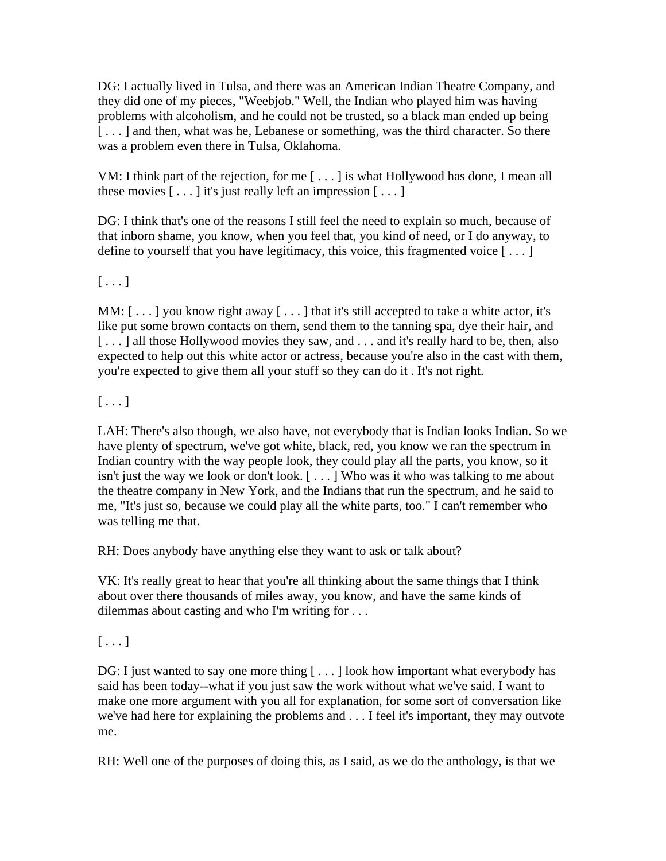DG: I actually lived in Tulsa, and there was an American Indian Theatre Company, and they did one of my pieces, "Weebjob." Well, the Indian who played him was having problems with alcoholism, and he could not be trusted, so a black man ended up being [...] and then, what was he, Lebanese or something, was the third character. So there was a problem even there in Tulsa, Oklahoma.

VM: I think part of the rejection, for me [ . . . ] is what Hollywood has done, I mean all these movies  $[\dots]$  it's just really left an impression  $[\dots]$ 

DG: I think that's one of the reasons I still feel the need to explain so much, because of that inborn shame, you know, when you feel that, you kind of need, or I do anyway, to define to yourself that you have legitimacy, this voice, this fragmented voice [ . . . ]

 $[\ldots]$ 

MM:  $[\dots]$  you know right away  $[\dots]$  that it's still accepted to take a white actor, it's like put some brown contacts on them, send them to the tanning spa, dye their hair, and [...] all those Hollywood movies they saw, and ... and it's really hard to be, then, also expected to help out this white actor or actress, because you're also in the cast with them, you're expected to give them all your stuff so they can do it . It's not right.

 $[\ldots]$ 

LAH: There's also though, we also have, not everybody that is Indian looks Indian. So we have plenty of spectrum, we've got white, black, red, you know we ran the spectrum in Indian country with the way people look, they could play all the parts, you know, so it isn't just the way we look or don't look. [ . . . ] Who was it who was talking to me about the theatre company in New York, and the Indians that run the spectrum, and he said to me, "It's just so, because we could play all the white parts, too." I can't remember who was telling me that.

RH: Does anybody have anything else they want to ask or talk about?

VK: It's really great to hear that you're all thinking about the same things that I think about over there thousands of miles away, you know, and have the same kinds of dilemmas about casting and who I'm writing for . . .

 $[\,\ldots]$ 

DG: I just wanted to say one more thing [...] look how important what everybody has said has been today--what if you just saw the work without what we've said. I want to make one more argument with you all for explanation, for some sort of conversation like we've had here for explaining the problems and . . . I feel it's important, they may outvote me.

RH: Well one of the purposes of doing this, as I said, as we do the anthology, is that we